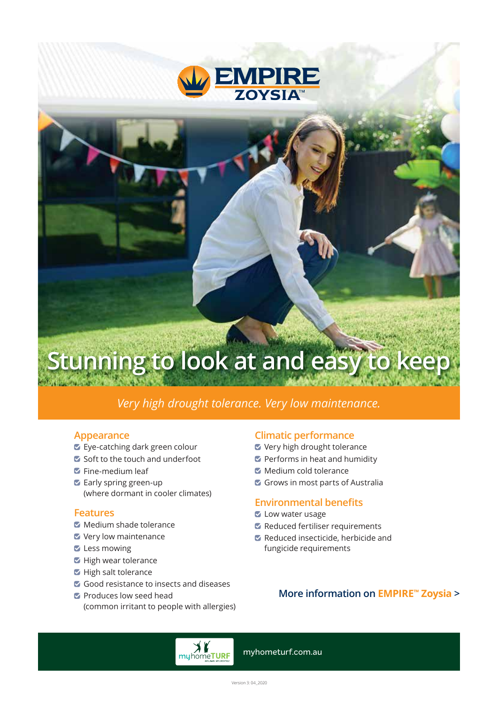

# **Stunning to look at and easy to keep**

# *Very high drought tolerance. Very low maintenance.*

#### **Appearance**

- Eye-catching dark green colour
- $\blacktriangleright$  Soft to the touch and underfoot
- **S** Fine-medium leaf
- **Early spring green-up** (where dormant in cooler climates)

#### **Features**

- $\blacktriangleright$  Medium shade tolerance
- Very low maintenance
- Less mowing
- $\blacksquare$  High wear tolerance
- $\blacksquare$  High salt tolerance
- Good resistance to insects and diseases
- **Z** Produces low seed head (common irritant to people with allergies)

#### **Climatic performance**

- Very high drought tolerance
- $\triangledown$  Performs in heat and humidity
- Medium cold tolerance
- Grows in most parts of Australia

#### **Environmental benefits**

- Low water usage
- **Z** Reduced fertiliser requirements
- Reduced insecticide, herbicide and fungicide requirements

#### **More information on EMPIRE™ Zoysia >**